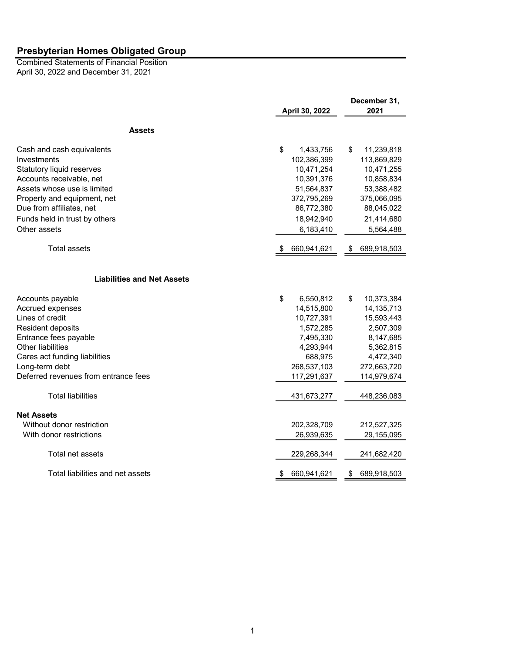April 30, 2022 and December 31, 2021 Combined Statements of Financial Position

|                                      |                   | December 31,      |
|--------------------------------------|-------------------|-------------------|
|                                      | April 30, 2022    | 2021              |
| <b>Assets</b>                        |                   |                   |
| Cash and cash equivalents            | \$<br>1,433,756   | \$<br>11,239,818  |
| Investments                          | 102,386,399       | 113,869,829       |
| Statutory liquid reserves            | 10,471,254        | 10,471,255        |
| Accounts receivable, net             | 10,391,376        | 10,858,834        |
| Assets whose use is limited          | 51,564,837        | 53,388,482        |
| Property and equipment, net          | 372,795,269       | 375,066,095       |
| Due from affiliates, net             | 86,772,380        | 88,045,022        |
| Funds held in trust by others        | 18,942,940        | 21,414,680        |
| Other assets                         | 6,183,410         | 5,564,488         |
| <b>Total assets</b>                  | 660,941,621       | 689,918,503<br>\$ |
| <b>Liabilities and Net Assets</b>    |                   |                   |
| Accounts payable                     | \$<br>6,550,812   | \$<br>10,373,384  |
| Accrued expenses                     | 14,515,800        | 14, 135, 713      |
| Lines of credit                      | 10,727,391        | 15,593,443        |
| Resident deposits                    | 1,572,285         | 2,507,309         |
| Entrance fees payable                | 7,495,330         | 8,147,685         |
| Other liabilities                    | 4,293,944         | 5,362,815         |
| Cares act funding liabilities        | 688,975           | 4,472,340         |
| Long-term debt                       | 268,537,103       | 272,663,720       |
| Deferred revenues from entrance fees | 117,291,637       | 114,979,674       |
| <b>Total liabilities</b>             | 431,673,277       | 448,236,083       |
| <b>Net Assets</b>                    |                   |                   |
| Without donor restriction            | 202,328,709       | 212,527,325       |
| With donor restrictions              | 26,939,635        | 29,155,095        |
| Total net assets                     | 229,268,344       | 241,682,420       |
| Total liabilities and net assets     | 660,941,621<br>\$ | 689,918,503<br>\$ |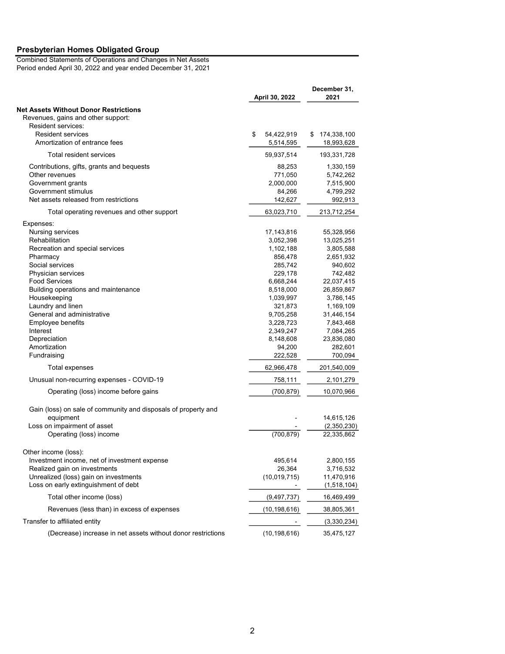Combined Statements of Operations and Changes in Net Assets Period ended April 30, 2022 and year ended December 31, 2021

| April 30, 2022                                                                     |    |                         | December 31,<br>2021 |                           |
|------------------------------------------------------------------------------------|----|-------------------------|----------------------|---------------------------|
| <b>Net Assets Without Donor Restrictions</b><br>Revenues, gains and other support: |    |                         |                      |                           |
| Resident services:                                                                 |    |                         |                      |                           |
| <b>Resident services</b><br>Amortization of entrance fees                          | \$ | 54,422,919<br>5,514,595 | \$                   | 174,338,100<br>18,993,628 |
| Total resident services                                                            |    | 59,937,514              |                      | 193,331,728               |
| Contributions, gifts, grants and bequests                                          |    | 88,253                  |                      | 1,330,159                 |
| Other revenues                                                                     |    | 771,050                 |                      | 5,742,262                 |
| Government grants                                                                  |    | 2,000,000               |                      | 7,515,900                 |
| Government stimulus                                                                |    | 84,266                  |                      | 4,799,292                 |
| Net assets released from restrictions                                              |    | 142,627                 |                      | 992,913                   |
| Total operating revenues and other support                                         |    | 63,023,710              |                      | 213,712,254               |
| Expenses:                                                                          |    |                         |                      |                           |
| Nursing services                                                                   |    | 17,143,816              |                      | 55,328,956                |
| Rehabilitation                                                                     |    | 3,052,398               |                      | 13,025,251                |
| Recreation and special services                                                    |    | 1,102,188               |                      | 3,805,588                 |
| Pharmacy                                                                           |    | 856,478                 |                      | 2,651,932                 |
| Social services                                                                    |    | 285,742                 |                      | 940,602                   |
| Physician services                                                                 |    | 229,178                 |                      | 742,482                   |
| <b>Food Services</b>                                                               |    | 6,668,244               |                      | 22,037,415                |
| Building operations and maintenance                                                |    | 8,518,000               |                      | 26,859,867                |
| Housekeeping                                                                       |    | 1,039,997               |                      | 3,786,145                 |
| Laundry and linen                                                                  |    | 321,873                 |                      | 1,169,109                 |
| General and administrative                                                         |    | 9,705,258               |                      | 31,446,154                |
| Employee benefits                                                                  |    | 3,228,723               |                      | 7,843,468                 |
| Interest                                                                           |    | 2,349,247               |                      | 7,084,265                 |
| Depreciation                                                                       |    | 8,148,608               |                      | 23,836,080                |
| Amortization                                                                       |    | 94,200                  |                      | 282,601                   |
| Fundraising                                                                        |    | 222,528                 |                      | 700,094                   |
| Total expenses                                                                     |    | 62,966,478              |                      | 201,540,009               |
| Unusual non-recurring expenses - COVID-19                                          |    | 758,111                 |                      | 2,101,279                 |
| Operating (loss) income before gains                                               |    | (700, 879)              |                      | 10,070,966                |
| Gain (loss) on sale of community and disposals of property and                     |    |                         |                      |                           |
| equipment                                                                          |    |                         |                      | 14,615,126                |
| Loss on impairment of asset                                                        |    |                         |                      | (2,350,230)               |
| Operating (loss) income                                                            |    | (700, 879)              |                      | 22,335,862                |
|                                                                                    |    |                         |                      |                           |
| Other income (loss):                                                               |    |                         |                      |                           |
| Investment income, net of investment expense                                       |    | 495,614                 |                      | 2,800,155                 |
| Realized gain on investments                                                       |    | 26,364                  |                      | 3,716,532                 |
| Unrealized (loss) gain on investments                                              |    | (10,019,715)            |                      | 11,470,916                |
| Loss on early extinguishment of debt                                               |    |                         |                      | (1,518,104)               |
| Total other income (loss)                                                          |    | (9, 497, 737)           |                      | 16,469,499                |
| Revenues (less than) in excess of expenses                                         |    | (10,198,616)            |                      | 38,805,361                |
| Transfer to affiliated entity                                                      |    |                         |                      | (3,330,234)               |
| (Decrease) increase in net assets without donor restrictions                       |    | (10, 198, 616)          |                      | 35,475,127                |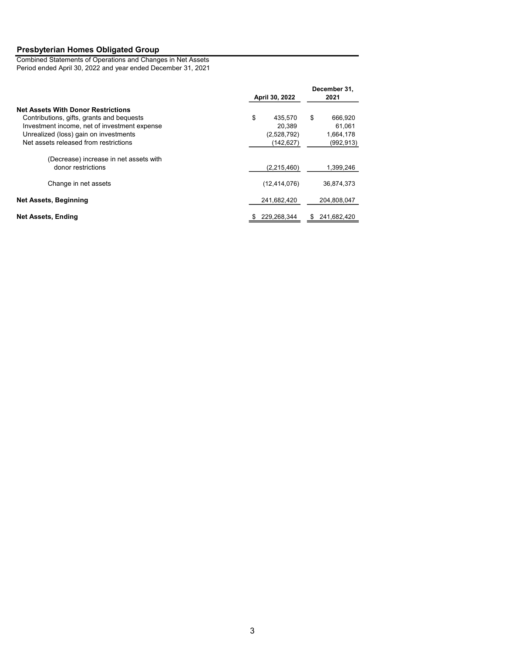Combined Statements of Operations and Changes in Net Assets Period ended April 30, 2022 and year ended December 31, 2021

|                                                              | April 30, 2022 | December 31,<br>2021 |  |
|--------------------------------------------------------------|----------------|----------------------|--|
| <b>Net Assets With Donor Restrictions</b>                    |                |                      |  |
| Contributions, gifts, grants and bequests                    | \$<br>435.570  | \$<br>666,920        |  |
| Investment income, net of investment expense                 | 20.389         | 61,061               |  |
| Unrealized (loss) gain on investments                        | (2,528,792)    | 1,664,178            |  |
| Net assets released from restrictions                        | (142,627)      | (992, 913)           |  |
| (Decrease) increase in net assets with<br>donor restrictions | (2,215,460)    | 1,399,246            |  |
| Change in net assets                                         | (12, 414, 076) | 36,874,373           |  |
| <b>Net Assets, Beginning</b>                                 | 241,682,420    | 204,808,047          |  |
| Net Assets, Ending                                           | 229.268.344    | 241.682.420<br>S     |  |